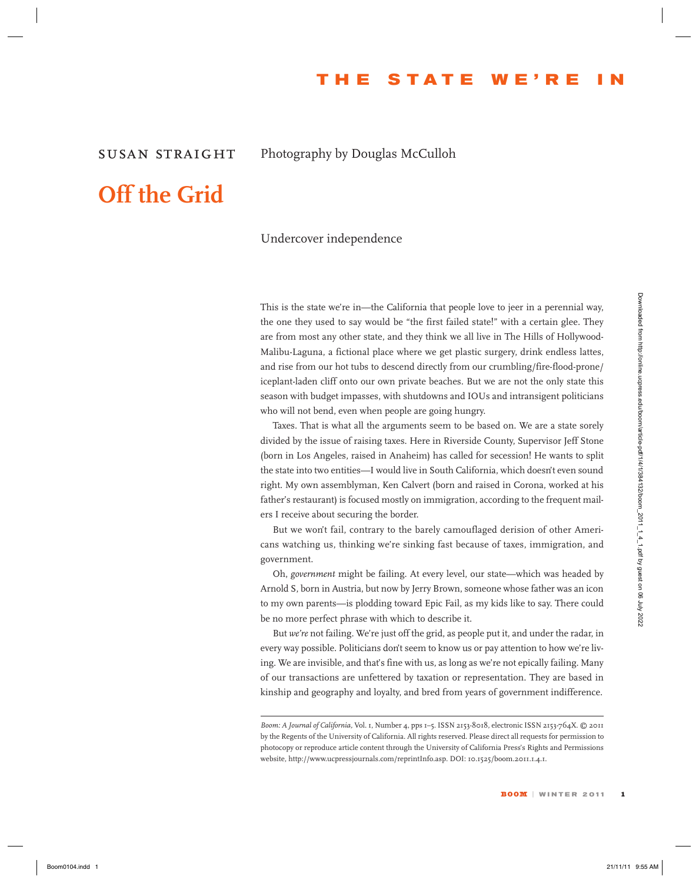## **T h e S t a t e W e ' r e I n**

### *susan straight* Photography by Douglas McCulloh

# **Off the Grid**

#### Undercover independence

This is the state we're in—the California that people love to jeer in a perennial way, the one they used to say would be "the first failed state!" with a certain glee. They are from most any other state, and they think we all live in The Hills of Hollywood-Malibu-Laguna, a fictional place where we get plastic surgery, drink endless lattes, and rise from our hot tubs to descend directly from our crumbling/fire-flood-prone/ iceplant-laden cliff onto our own private beaches. But we are not the only state this season with budget impasses, with shutdowns and IOUs and intransigent politicians who will not bend, even when people are going hungry. This the station wave in  $\sim 4.5$  California that propies lowe however in a spectral stationary of the stationary in the case of the stationary of the stationary in the stationary of the stationary in the stationary of th

Taxes. That is what all the arguments seem to be based on. We are a state sorely divided by the issue of raising taxes. Here in Riverside County, Supervisor Jeff Stone (born in Los Angeles, raised in Anaheim) has called for secession! He wants to split the state into two entities—I would live in South California, which doesn't even sound right. My own assemblyman, Ken Calvert (born and raised in Corona, worked at his father's restaurant) is focused mostly on immigration, according to the frequent mailers I receive about securing the border.

But we won't fail, contrary to the barely camouflaged derision of other Americans watching us, thinking we're sinking fast because of taxes, immigration, and government.

Oh, *government* might be failing. At every level, our state—which was headed by Arnold S, born in Austria, but now by Jerry Brown, someone whose father was an icon to my own parents—is plodding toward Epic Fail, as my kids like to say. There could be no more perfect phrase with which to describe it.

But *we're* not failing. We're just off the grid, as people put it, and under the radar, in every way possible. Politicians don't seem to know us or pay attention to how we're living. We are invisible, and that's fine with us, as long as we're not epically failing. Many of our transactions are unfettered by taxation or representation. They are based in kinship and geography and loyalty, and bred from years of government indifference.

*Boom: A Journal of California,* Vol. 1, Number 4, pps 1–5. ISSN 2153-8018, electronic ISSN 2153-764X. © 2011 by the Regents of the University of California. All rights reserved. Please direct all requests for permission to photocopy or reproduce article content through the University of California Press's Rights and Permissions website, http://www.ucpressjournals.com/reprintInfo.asp. DOI: 10.1525/boom.2011.1.4.1.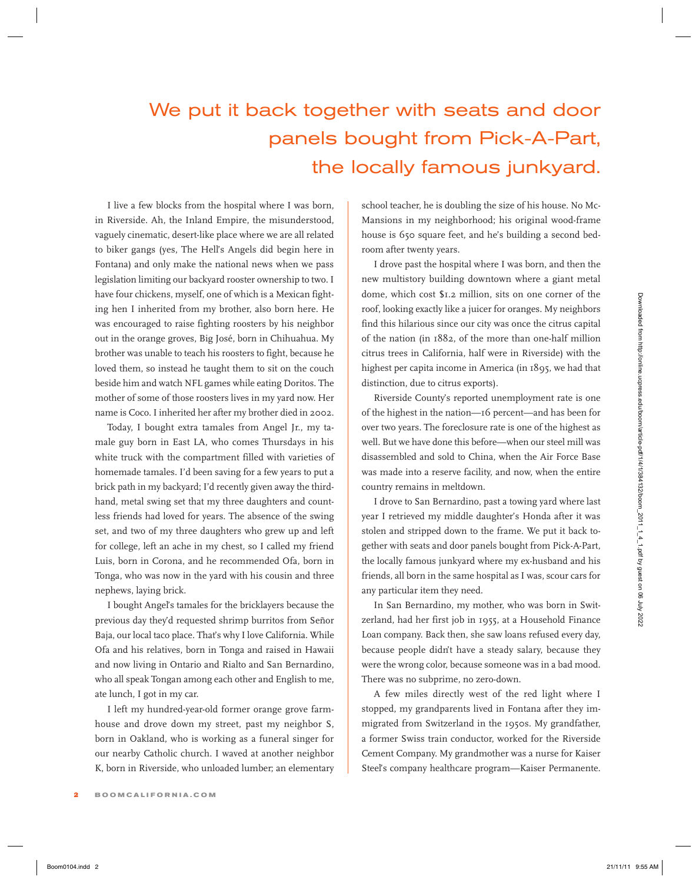## We put it back together with seats and door panels bought from Pick-A-Part, the locally famous junkyard.

I live a few blocks from the hospital where I was born, in Riverside. Ah, the Inland Empire, the misunderstood, vaguely cinematic, desert-like place where we are all related to biker gangs (yes, The Hell's Angels did begin here in Fontana) and only make the national news when we pass legislation limiting our backyard rooster ownership to two. I have four chickens, myself, one of which is a Mexican fighting hen I inherited from my brother, also born here. He was encouraged to raise fighting roosters by his neighbor out in the orange groves, Big José, born in Chihuahua. My brother was unable to teach his roosters to fight, because he loved them, so instead he taught them to sit on the couch beside him and watch NFL games while eating Doritos. The mother of some of those roosters lives in my yard now. Her name is Coco. I inherited her after my brother died in 2002.

Today, I bought extra tamales from Angel Jr., my tamale guy born in East LA, who comes Thursdays in his white truck with the compartment filled with varieties of homemade tamales. I'd been saving for a few years to put a brick path in my backyard; I'd recently given away the thirdhand, metal swing set that my three daughters and countless friends had loved for years. The absence of the swing set, and two of my three daughters who grew up and left for college, left an ache in my chest, so I called my friend Luis, born in Corona, and he recommended Ofa, born in Tonga, who was now in the yard with his cousin and three nephews, laying brick. Boom0104.indd 2 21/11/11 9:55 AM Downloaded from http://online.ucpress.edu/boom/article-pdf/1/4/1/384132/boom\_2011\_1\_4\_1.pdf by guest on 06 July 2022

I bought Angel's tamales for the bricklayers because the previous day they'd requested shrimp burritos from Señor Baja, our local taco place. That's why I love California. While Ofa and his relatives, born in Tonga and raised in Hawaii and now living in Ontario and Rialto and San Bernardino, who all speak Tongan among each other and English to me, ate lunch, I got in my car.

I left my hundred-year-old former orange grove farmhouse and drove down my street, past my neighbor S, born in Oakland, who is working as a funeral singer for our nearby Catholic church. I waved at another neighbor K, born in Riverside, who unloaded lumber; an elementary school teacher, he is doubling the size of his house. No Mc-Mansions in my neighborhood; his original wood-frame house is 650 square feet, and he's building a second bedroom after twenty years.

I drove past the hospital where I was born, and then the new multistory building downtown where a giant metal dome, which cost \$1.2 million, sits on one corner of the roof, looking exactly like a juicer for oranges. My neighbors find this hilarious since our city was once the citrus capital of the nation (in 1882, of the more than one-half million citrus trees in California, half were in Riverside) with the highest per capita income in America (in 1895, we had that distinction, due to citrus exports).

Riverside County's reported unemployment rate is one of the highest in the nation—16 percent—and has been for over two years. The foreclosure rate is one of the highest as well. But we have done this before—when our steel mill was disassembled and sold to China, when the Air Force Base was made into a reserve facility, and now, when the entire country remains in meltdown.

I drove to San Bernardino, past a towing yard where last year I retrieved my middle daughter's Honda after it was stolen and stripped down to the frame. We put it back together with seats and door panels bought from Pick-A-Part, the locally famous junkyard where my ex-husband and his friends, all born in the same hospital as I was, scour cars for any particular item they need.

In San Bernardino, my mother, who was born in Switzerland, had her first job in 1955, at a Household Finance Loan company. Back then, she saw loans refused every day, because people didn't have a steady salary, because they were the wrong color, because someone was in a bad mood. There was no subprime, no zero-down.

A few miles directly west of the red light where I stopped, my grandparents lived in Fontana after they immigrated from Switzerland in the 1950s. My grandfather, a former Swiss train conductor, worked for the Riverside Cement Company. My grandmother was a nurse for Kaiser Steel's company healthcare program—Kaiser Permanente.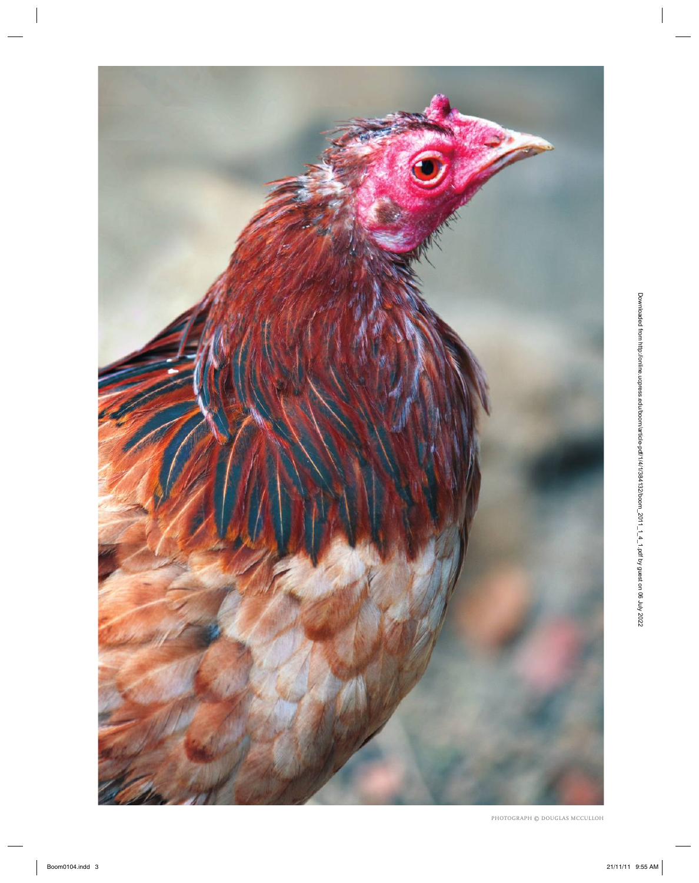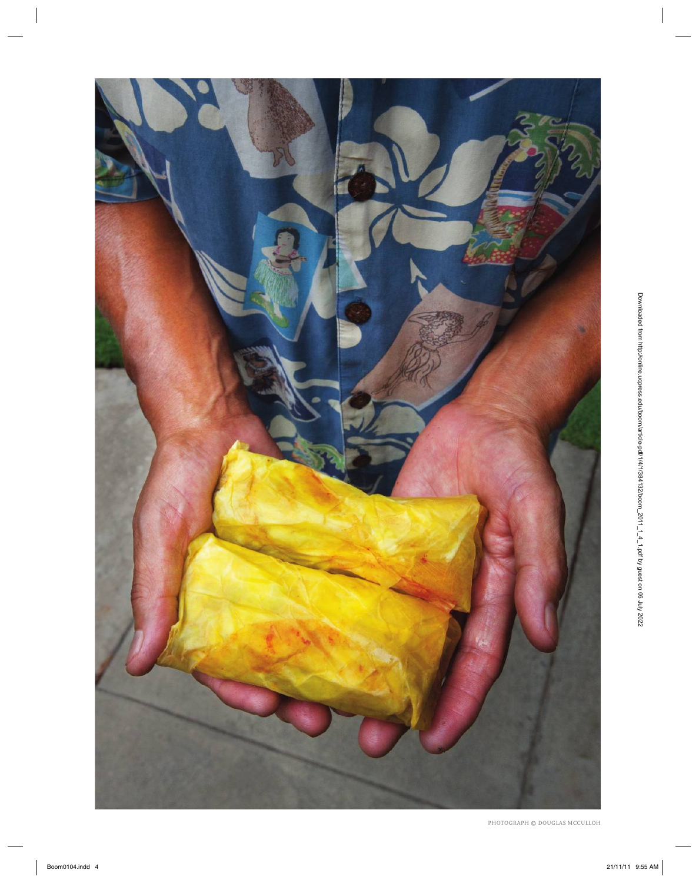